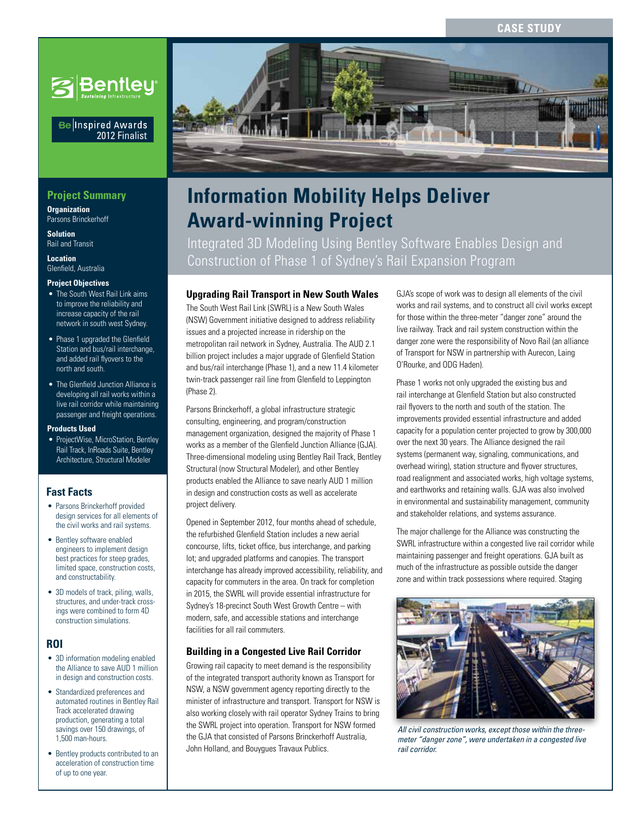

### Be Inspired Awards 2012 Finalist

## **Project Summary**

**Organization** Parsons Brinckerhoff

**Solution** Rail and Transit

**Location** Glenfield, Australia

### **Project Objectives**

- The South West Rail Link aims to improve the reliability and increase capacity of the rail network in south west Sydney.
- Phase 1 upgraded the Glenfield Station and bus/rail interchange, and added rail flyovers to the north and south.
- The Glenfield Junction Alliance is developing all rail works within a live rail corridor while maintaining passenger and freight operations.

#### **Products Used**

• ProjectWise, MicroStation, Bentley Rail Track, InRoads Suite, Bentley Architecture, Structural Modeler

### **Fast Facts**

- Parsons Brinckerhoff provided design services for all elements of the civil works and rail systems.
- Bentley software enabled engineers to implement design best practices for steep grades, limited space, construction costs, and constructability.
- 3D models of track, piling, walls, structures, and under-track crossings were combined to form 4D construction simulations.

### **ROI**

- 3D information modeling enabled the Alliance to save AUD 1 million in design and construction costs.
- Standardized preferences and automated routines in Bentley Rail Track accelerated drawing production, generating a total savings over 150 drawings, of 1,500 man-hours.
- Bentley products contributed to an acceleration of construction time of up to one year.



# **Award-winning Project Information Mobility Helps Deliver**

Integrated 3D Modeling Using Bentley Software Enables Design and Construction of Phase 1 of Sydney's Rail Expansion Program

### **Upgrading Rail Transport in New South Wales**

The South West Rail Link (SWRL) is a New South Wales (NSW) Government initiative designed to address reliability issues and a projected increase in ridership on the metropolitan rail network in Sydney, Australia. The AUD 2.1 billion project includes a major upgrade of Glenfield Station and bus/rail interchange (Phase 1), and a new 11.4 kilometer twin-track passenger rail line from Glenfield to Leppington (Phase 2).

Parsons Brinckerhoff, a global infrastructure strategic consulting, engineering, and program/construction management organization, designed the majority of Phase 1 works as a member of the Glenfield Junction Alliance (GJA). Three-dimensional modeling using Bentley Rail Track, Bentley Structural (now Structural Modeler), and other Bentley products enabled the Alliance to save nearly AUD 1 million in design and construction costs as well as accelerate project delivery.

Opened in September 2012, four months ahead of schedule, the refurbished Glenfield Station includes a new aerial concourse, lifts, ticket office, bus interchange, and parking lot; and upgraded platforms and canopies. The transport interchange has already improved accessibility, reliability, and capacity for commuters in the area. On track for completion in 2015, the SWRL will provide essential infrastructure for Sydney's 18-precinct South West Growth Centre – with modern, safe, and accessible stations and interchange facilities for all rail commuters.

### **Building in a Congested Live Rail Corridor**

Growing rail capacity to meet demand is the responsibility of the integrated transport authority known as Transport for NSW, a NSW government agency reporting directly to the minister of infrastructure and transport. Transport for NSW is also working closely with rail operator Sydney Trains to bring the SWRL project into operation. Transport for NSW formed the GJA that consisted of Parsons Brinckerhoff Australia, John Holland, and Bouygues Travaux Publics.

GJA's scope of work was to design all elements of the civil works and rail systems, and to construct all civil works except for those within the three-meter "danger zone" around the live railway. Track and rail system construction within the danger zone were the responsibility of Novo Rail (an alliance of Transport for NSW in partnership with Aurecon, Laing O'Rourke, and ODG Haden).

Phase 1 works not only upgraded the existing bus and rail interchange at Glenfield Station but also constructed rail flyovers to the north and south of the station. The improvements provided essential infrastructure and added capacity for a population center projected to grow by 300,000 over the next 30 years. The Alliance designed the rail systems (permanent way, signaling, communications, and overhead wiring), station structure and flyover structures, road realignment and associated works, high voltage systems, and earthworks and retaining walls. GJA was also involved in environmental and sustainability management, community and stakeholder relations, and systems assurance.

The major challenge for the Alliance was constructing the SWRL infrastructure within a congested live rail corridor while maintaining passenger and freight operations. GJA built as much of the infrastructure as possible outside the danger zone and within track possessions where required. Staging



*All civil construction works, except those within the threemeter "danger zone", were undertaken in a congested live rail corridor.*